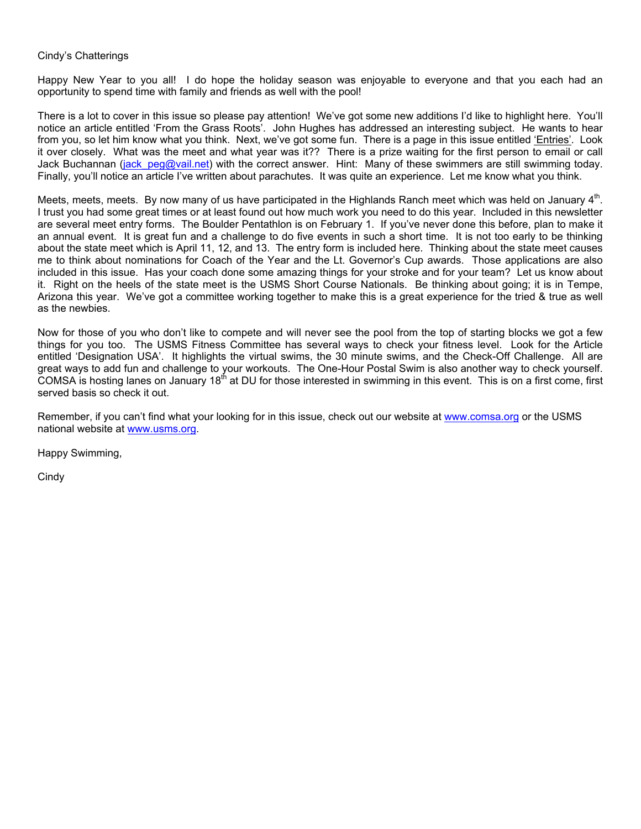#### Cindy's Chatterings

Happy New Year to you all! I do hope the holiday season was enjoyable to everyone and that you each had an opportunity to spend time with family and friends as well with the pool!

There is a lot to cover in this issue so please pay attention! We've got some new additions I'd like to highlight here. You'll notice an article entitled 'From the Grass Roots'. John Hughes has addressed an interesting subject. He wants to hear from you, so let him know what you think. Next, we've got some fun. There is a page in this issue entitled 'Entries'. Look it over closely. What was the meet and what year was it?? There is a prize waiting for the first person to email or call Jack Buchannan (jack peg@vail.net) with the correct answer. Hint: Many of these swimmers are still swimming today. Finally, you'll notice an article I've written about parachutes. It was quite an experience. Let me know what you think.

Meets, meets, meets. By now many of us have participated in the Highlands Ranch meet which was held on January  $4<sup>m</sup>$ . I trust you had some great times or at least found out how much work you need to do this year. Included in this newsletter are several meet entry forms. The Boulder Pentathlon is on February 1. If you've never done this before, plan to make it an annual event. It is great fun and a challenge to do five events in such a short time. It is not too early to be thinking about the state meet which is April 11, 12, and 13. The entry form is included here. Thinking about the state meet causes me to think about nominations for Coach of the Year and the Lt. Governor's Cup awards. Those applications are also included in this issue. Has your coach done some amazing things for your stroke and for your team? Let us know about it. Right on the heels of the state meet is the USMS Short Course Nationals. Be thinking about going; it is in Tempe, Arizona this year. We've got a committee working together to make this is a great experience for the tried & true as well as the newbies.

Now for those of you who don't like to compete and will never see the pool from the top of starting blocks we got a few things for you too. The USMS Fitness Committee has several ways to check your fitness level. Look for the Article entitled 'Designation USA'. It highlights the virtual swims, the 30 minute swims, and the Check-Off Challenge. All are great ways to add fun and challenge to your workouts. The One-Hour Postal Swim is also another way to check yourself. COMSA is hosting lanes on January 18<sup>th</sup> at DU for those interested in swimming in this event. This is on a first come, first served basis so check it out.

Remember, if you can't find what your looking for in this issue, check out our website at [www.comsa.org](http://www.comsa.org/) or the USMS national website at [www.usms.org.](http://www.usms.org/)

Happy Swimming,

**Cindy**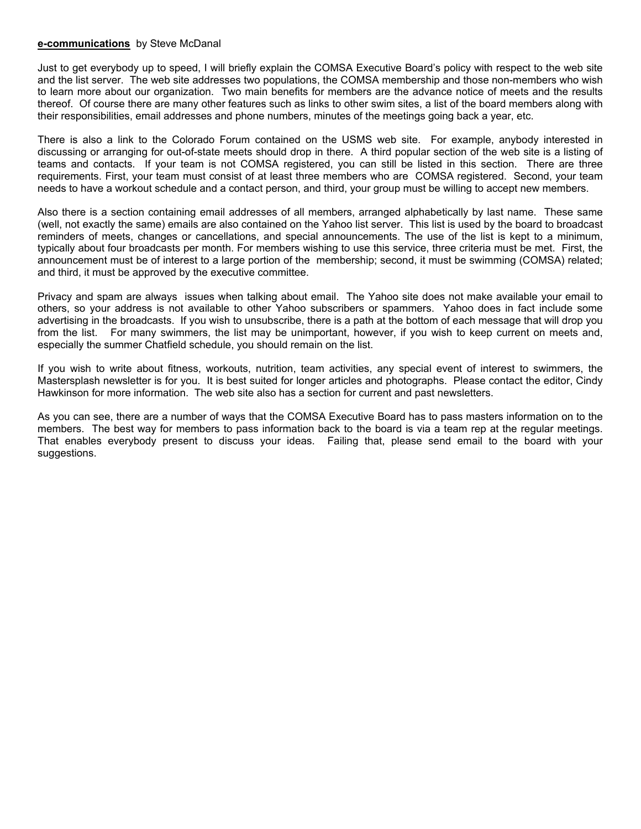#### **e-communications** by Steve McDanal

Just to get everybody up to speed, I will briefly explain the COMSA Executive Board's policy with respect to the web site and the list server. The web site addresses two populations, the COMSA membership and those non-members who wish to learn more about our organization. Two main benefits for members are the advance notice of meets and the results thereof. Of course there are many other features such as links to other swim sites, a list of the board members along with their responsibilities, email addresses and phone numbers, minutes of the meetings going back a year, etc.

There is also a link to the Colorado Forum contained on the USMS web site. For example, anybody interested in discussing or arranging for out-of-state meets should drop in there. A third popular section of the web site is a listing of teams and contacts. If your team is not COMSA registered, you can still be listed in this section. There are three requirements. First, your team must consist of at least three members who are COMSA registered. Second, your team needs to have a workout schedule and a contact person, and third, your group must be willing to accept new members.

Also there is a section containing email addresses of all members, arranged alphabetically by last name. These same (well, not exactly the same) emails are also contained on the Yahoo list server. This list is used by the board to broadcast reminders of meets, changes or cancellations, and special announcements. The use of the list is kept to a minimum, typically about four broadcasts per month. For members wishing to use this service, three criteria must be met. First, the announcement must be of interest to a large portion of the membership; second, it must be swimming (COMSA) related; and third, it must be approved by the executive committee.

Privacy and spam are always issues when talking about email. The Yahoo site does not make available your email to others, so your address is not available to other Yahoo subscribers or spammers. Yahoo does in fact include some advertising in the broadcasts. If you wish to unsubscribe, there is a path at the bottom of each message that will drop you from the list. For many swimmers, the list may be unimportant, however, if you wish to keep current on meets and, especially the summer Chatfield schedule, you should remain on the list.

If you wish to write about fitness, workouts, nutrition, team activities, any special event of interest to swimmers, the Mastersplash newsletter is for you. It is best suited for longer articles and photographs. Please contact the editor, Cindy Hawkinson for more information. The web site also has a section for current and past newsletters.

As you can see, there are a number of ways that the COMSA Executive Board has to pass masters information on to the members. The best way for members to pass information back to the board is via a team rep at the regular meetings. That enables everybody present to discuss your ideas. Failing that, please send email to the board with your suggestions.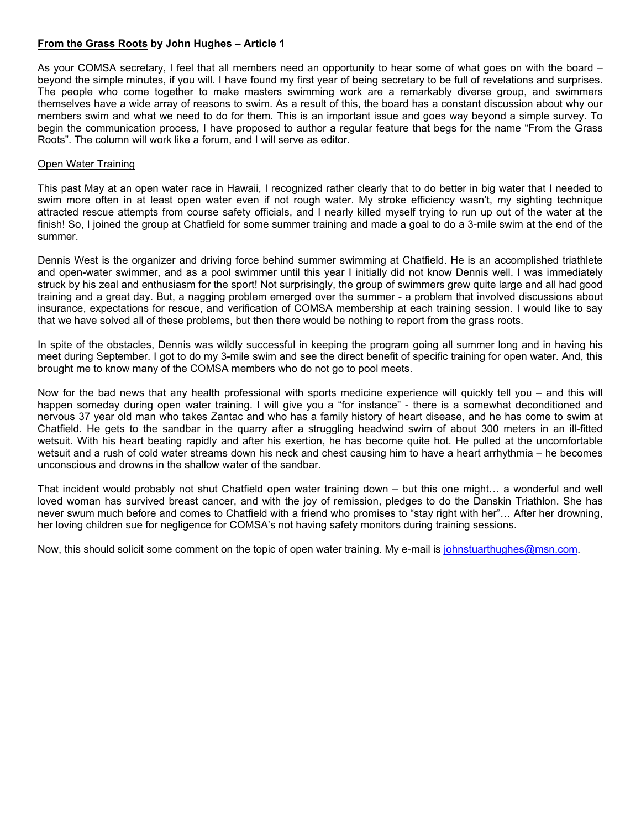#### **From the Grass Roots by John Hughes – Article 1**

As your COMSA secretary, I feel that all members need an opportunity to hear some of what goes on with the board – beyond the simple minutes, if you will. I have found my first year of being secretary to be full of revelations and surprises. The people who come together to make masters swimming work are a remarkably diverse group, and swimmers themselves have a wide array of reasons to swim. As a result of this, the board has a constant discussion about why our members swim and what we need to do for them. This is an important issue and goes way beyond a simple survey. To begin the communication process, I have proposed to author a regular feature that begs for the name "From the Grass Roots". The column will work like a forum, and I will serve as editor.

#### Open Water Training

This past May at an open water race in Hawaii, I recognized rather clearly that to do better in big water that I needed to swim more often in at least open water even if not rough water. My stroke efficiency wasn't, my sighting technique attracted rescue attempts from course safety officials, and I nearly killed myself trying to run up out of the water at the finish! So, I joined the group at Chatfield for some summer training and made a goal to do a 3-mile swim at the end of the summer.

Dennis West is the organizer and driving force behind summer swimming at Chatfield. He is an accomplished triathlete and open-water swimmer, and as a pool swimmer until this year I initially did not know Dennis well. I was immediately struck by his zeal and enthusiasm for the sport! Not surprisingly, the group of swimmers grew quite large and all had good training and a great day. But, a nagging problem emerged over the summer - a problem that involved discussions about insurance, expectations for rescue, and verification of COMSA membership at each training session. I would like to say that we have solved all of these problems, but then there would be nothing to report from the grass roots.

In spite of the obstacles, Dennis was wildly successful in keeping the program going all summer long and in having his meet during September. I got to do my 3-mile swim and see the direct benefit of specific training for open water. And, this brought me to know many of the COMSA members who do not go to pool meets.

Now for the bad news that any health professional with sports medicine experience will quickly tell you – and this will happen someday during open water training. I will give you a "for instance" - there is a somewhat deconditioned and nervous 37 year old man who takes Zantac and who has a family history of heart disease, and he has come to swim at Chatfield. He gets to the sandbar in the quarry after a struggling headwind swim of about 300 meters in an ill-fitted wetsuit. With his heart beating rapidly and after his exertion, he has become quite hot. He pulled at the uncomfortable wetsuit and a rush of cold water streams down his neck and chest causing him to have a heart arrhythmia – he becomes unconscious and drowns in the shallow water of the sandbar.

That incident would probably not shut Chatfield open water training down – but this one might… a wonderful and well loved woman has survived breast cancer, and with the joy of remission, pledges to do the Danskin Triathlon. She has never swum much before and comes to Chatfield with a friend who promises to "stay right with her"… After her drowning, her loving children sue for negligence for COMSA's not having safety monitors during training sessions.

Now, this should solicit some comment on the topic of open water training. My e-mail is [johnstuarthughes@msn.com.](mailto:johnstuarthughes@msn.com)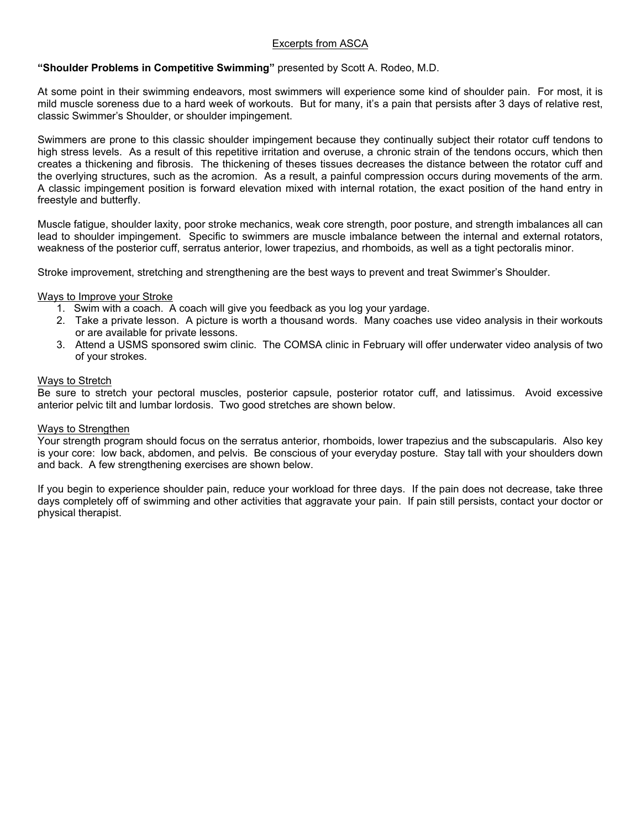#### Excerpts from ASCA

#### **"Shoulder Problems in Competitive Swimming"** presented by Scott A. Rodeo, M.D.

At some point in their swimming endeavors, most swimmers will experience some kind of shoulder pain. For most, it is mild muscle soreness due to a hard week of workouts. But for many, it's a pain that persists after 3 days of relative rest, classic Swimmer's Shoulder, or shoulder impingement.

Swimmers are prone to this classic shoulder impingement because they continually subject their rotator cuff tendons to high stress levels. As a result of this repetitive irritation and overuse, a chronic strain of the tendons occurs, which then creates a thickening and fibrosis. The thickening of theses tissues decreases the distance between the rotator cuff and the overlying structures, such as the acromion. As a result, a painful compression occurs during movements of the arm. A classic impingement position is forward elevation mixed with internal rotation, the exact position of the hand entry in freestyle and butterfly.

Muscle fatigue, shoulder laxity, poor stroke mechanics, weak core strength, poor posture, and strength imbalances all can lead to shoulder impingement. Specific to swimmers are muscle imbalance between the internal and external rotators, weakness of the posterior cuff, serratus anterior, lower trapezius, and rhomboids, as well as a tight pectoralis minor.

Stroke improvement, stretching and strengthening are the best ways to prevent and treat Swimmer's Shoulder.

#### Ways to Improve your Stroke

- 1. Swim with a coach. A coach will give you feedback as you log your yardage.
- 2. Take a private lesson. A picture is worth a thousand words. Many coaches use video analysis in their workouts or are available for private lessons.
- 3. Attend a USMS sponsored swim clinic. The COMSA clinic in February will offer underwater video analysis of two of your strokes.

#### Ways to Stretch

Be sure to stretch your pectoral muscles, posterior capsule, posterior rotator cuff, and latissimus. Avoid excessive anterior pelvic tilt and lumbar lordosis. Two good stretches are shown below.

#### Ways to Strengthen

Your strength program should focus on the serratus anterior, rhomboids, lower trapezius and the subscapularis. Also key is your core: low back, abdomen, and pelvis. Be conscious of your everyday posture. Stay tall with your shoulders down and back. A few strengthening exercises are shown below.

If you begin to experience shoulder pain, reduce your workload for three days. If the pain does not decrease, take three days completely off of swimming and other activities that aggravate your pain. If pain still persists, contact your doctor or physical therapist.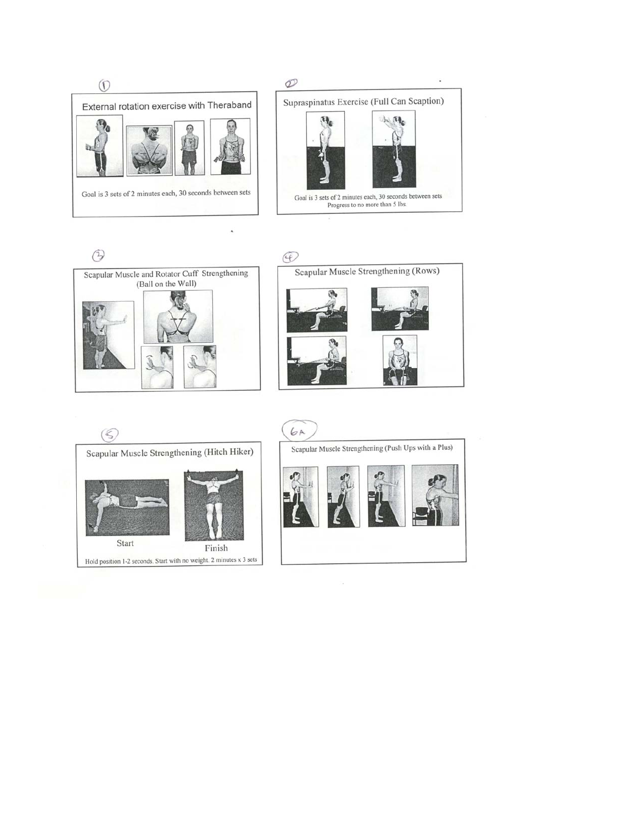





Ä





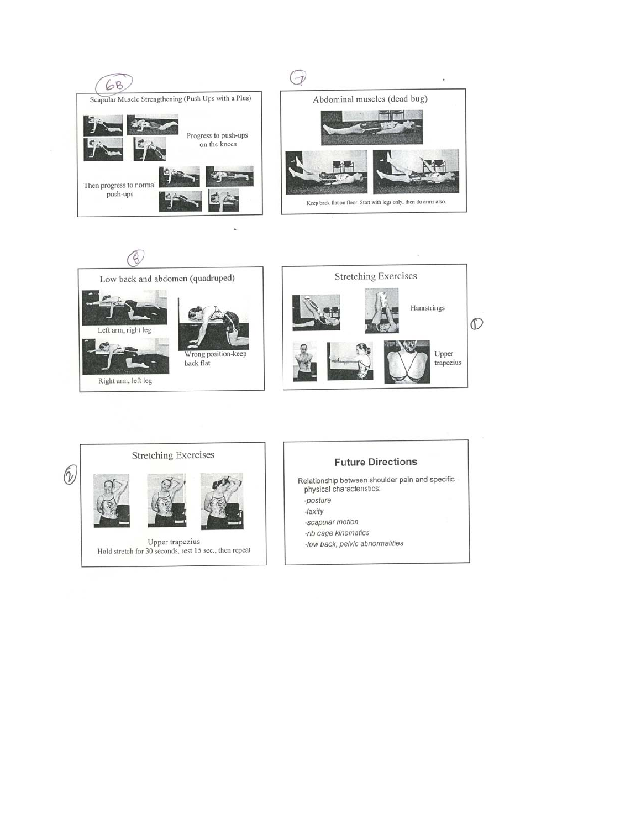



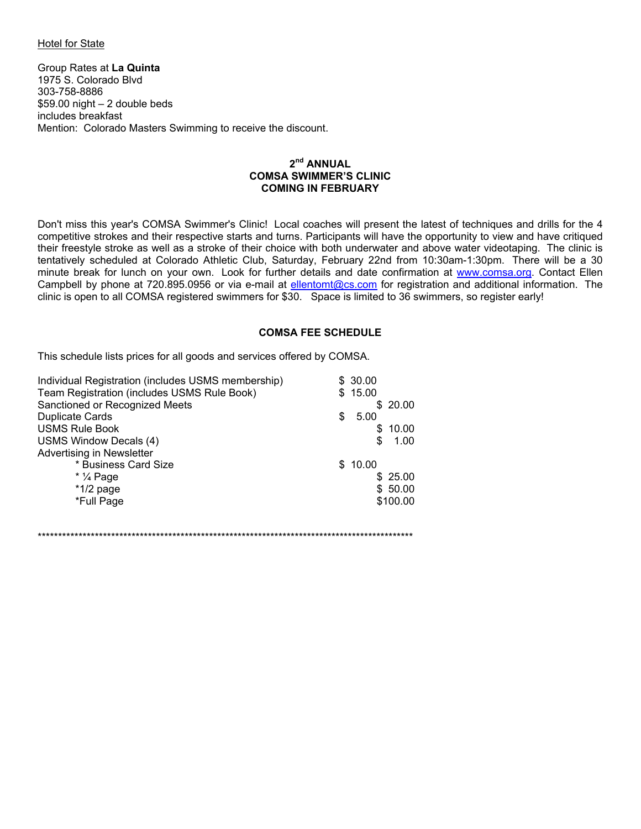#### **Hotel for State**

Group Rates at La Quinta 1975 S. Colorado Blvd 303-758-8886  $$59.00$  night - 2 double beds includes breakfast Mention: Colorado Masters Swimming to receive the discount.

#### $2<sup>nd</sup>$  ANNUAL **COMSA SWIMMER'S CLINIC COMING IN FEBRUARY**

Don't miss this year's COMSA Swimmer's Clinic! Local coaches will present the latest of techniques and drills for the 4 competitive strokes and their respective starts and turns. Participants will have the opportunity to view and have critiqued their freestyle stroke as well as a stroke of their choice with both underwater and above water videotaping. The clinic is tentatively scheduled at Colorado Athletic Club, Saturday, February 22nd from 10:30am-1:30pm. There will be a 30 minute break for lunch on your own. Look for further details and date confirmation at www.comsa.org. Contact Ellen Campbell by phone at 720.895.0956 or via e-mail at ellentomt@cs.com for registration and additional information. The clinic is open to all COMSA registered swimmers for \$30. Space is limited to 36 swimmers, so register early!

#### **COMSA FEE SCHEDULE**

This schedule lists prices for all goods and services offered by COMSA.

| Individual Registration (includes USMS membership) |    | \$30.00    |
|----------------------------------------------------|----|------------|
| Team Registration (includes USMS Rule Book)        |    | \$15.00    |
| Sanctioned or Recognized Meets                     |    | \$20.00    |
| <b>Duplicate Cards</b>                             | £. | 5.00       |
| <b>USMS Rule Book</b>                              |    | \$10.00    |
| <b>USMS Window Decals (4)</b>                      |    | \$<br>1.00 |
| Advertising in Newsletter                          |    |            |
| * Business Card Size                               |    | \$10.00    |
| $*$ $\frac{1}{4}$ Page                             |    | \$25.00    |
| $*1/2$ page                                        |    | \$50.00    |
| *Full Page                                         |    | \$100.00   |
|                                                    |    |            |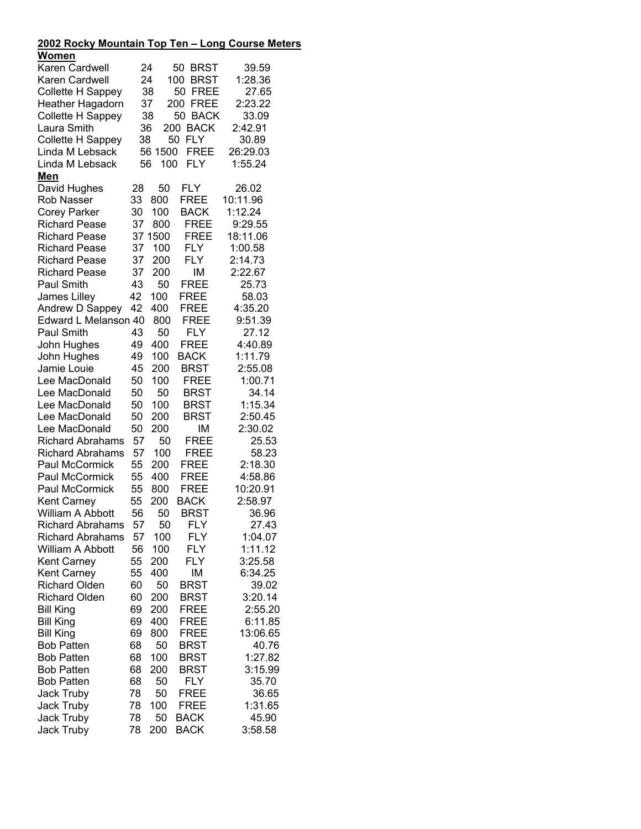| <u> 2002 Rocky Mountain Top Ten – Long Course Meters</u> |    |           |                    |                  |
|----------------------------------------------------------|----|-----------|--------------------|------------------|
| <u>Women</u>                                             |    |           |                    |                  |
| Karen Cardwell                                           |    | 24        | 50<br><b>BRST</b>  | 39.59            |
| Karen Cardwell                                           | 24 |           | 100<br><b>BRST</b> | 1:28.36          |
| Collette H Sappey                                        |    | 38        | 50<br><b>FREE</b>  | 27.65            |
| Heather Hagadorn                                         |    | 37        | 200<br><b>FREE</b> | 2:23.22          |
| Collette H Sappey                                        |    | 38        | 50 BACK            | 33.09            |
| Laura Smith                                              | 36 | 200       | <b>BACK</b>        | 2:42.91          |
| Collette H Sappey                                        | 38 |           | 50<br><b>FLY</b>   | 30.89            |
| Linda M Lebsack                                          |    | 56 1500   | <b>FREE</b>        | 26:29.03         |
| Linda M Lebsack                                          | 56 | 100       | FLY                | 1:55.24          |
| <u>Men</u>                                               |    |           |                    |                  |
| David Hughes                                             | 28 | 50        | <b>FLY</b>         | 26.02            |
| <b>Rob Nasser</b>                                        | 33 | 800       | <b>FREE</b>        | 10:11.96         |
| <b>Corey Parker</b>                                      | 30 | 100       | <b>BACK</b>        | 1:12.24          |
| <b>Richard Pease</b>                                     | 37 | 800       | <b>FREE</b>        | 9:29.55          |
| <b>Richard Pease</b>                                     |    | 37 1500   | <b>FREE</b>        | 18:11.06         |
| <b>Richard Pease</b>                                     | 37 | 100       | <b>FLY</b>         | 1:00.58          |
| <b>Richard Pease</b>                                     | 37 | 200       | <b>FLY</b>         | 2:14.73          |
| <b>Richard Pease</b>                                     | 37 | 200       | ΙM                 | 2:22.67          |
| Paul Smith                                               | 43 | 50        | FREE               | 25.73            |
| James Lilley                                             | 42 | 100       | FREE               | 58.03            |
|                                                          | 42 | 400       | <b>FREE</b>        | 4:35.20          |
| Andrew D Sappey<br>Edward L Melanson 40                  |    | 800       | <b>FREE</b>        |                  |
| Paul Smith                                               | 43 |           | <b>FLY</b>         | 9:51.39          |
|                                                          | 49 | 50<br>400 | <b>FREE</b>        | 27.12<br>4:40.89 |
| John Hughes                                              |    |           |                    |                  |
| John Hughes<br>Jamie Louie                               | 49 | 100       | <b>BACK</b>        | 1:11.79          |
|                                                          | 45 | 200       | <b>BRST</b>        | 2:55.08          |
| Lee MacDonald                                            | 50 | 100       | <b>FREE</b>        | 1:00.71          |
| Lee MacDonald                                            | 50 | 50        | <b>BRST</b>        | 34.14            |
| Lee MacDonald                                            | 50 | 100       | <b>BRST</b>        | 1:15.34          |
| Lee MacDonald                                            | 50 | 200       | <b>BRST</b>        | 2:50.45          |
| Lee MacDonald                                            | 50 | 200       | ΙM                 | 2:30.02          |
| <b>Richard Abrahams</b>                                  | 57 | 50        | FREE               | 25.53            |
| <b>Richard Abrahams</b>                                  | 57 | 100       | <b>FREE</b>        | 58.23            |
| Paul McCormick                                           | 55 | 200       | <b>FREE</b>        | 2:18.30          |
| Paul McCormick                                           | 55 | 400       | <b>FREE</b>        | 4:58.86          |
| Paul McCormick                                           | 55 | 800       | <b>FREE</b>        | 10:20.91         |
| <b>Kent Carney</b>                                       | 55 | 200       | <b>BACK</b>        | 2:58.97          |
| William A Abbott                                         | 56 | 50        | <b>BRST</b>        | 36.96            |
| <b>Richard Abrahams</b>                                  | 57 | 50        | <b>FLY</b>         | 27.43            |
| <b>Richard Abrahams</b>                                  | 57 | 100       | <b>FLY</b>         | 1:04.07          |
| William A Abbott                                         | 56 | 100       | <b>FLY</b>         | 1:11.12          |
| <b>Kent Carney</b>                                       | 55 | 200       | <b>FLY</b>         | 3:25.58          |
| <b>Kent Carney</b>                                       | 55 | 400       | IM                 | 6:34.25          |
| <b>Richard Olden</b>                                     | 60 | 50        | <b>BRST</b>        | 39.02            |
| <b>Richard Olden</b>                                     | 60 | 200       | <b>BRST</b>        | 3:20.14          |
| <b>Bill King</b>                                         | 69 | 200       | <b>FREE</b>        | 2:55.20          |
| <b>Bill King</b>                                         | 69 | 400       | <b>FREE</b>        | 6:11.85          |
| <b>Bill King</b>                                         | 69 | 800       | <b>FREE</b>        | 13:06.65         |
| <b>Bob Patten</b>                                        | 68 | 50        | BRST               | 40.76            |
| <b>Bob Patten</b>                                        | 68 | 100       | <b>BRST</b>        | 1:27.82          |
| <b>Bob Patten</b>                                        | 68 | 200       | <b>BRST</b>        | 3:15.99          |
| <b>Bob Patten</b>                                        | 68 | 50        | <b>FLY</b>         | 35.70            |
| <b>Jack Truby</b>                                        | 78 | 50        | FREE               | 36.65            |
| <b>Jack Truby</b>                                        | 78 | 100       | <b>FREE</b>        | 1:31.65          |
| <b>Jack Truby</b>                                        | 78 | 50        | <b>BACK</b>        | 45.90            |
| <b>Jack Truby</b>                                        | 78 | 200       | <b>BACK</b>        | 3:58.58          |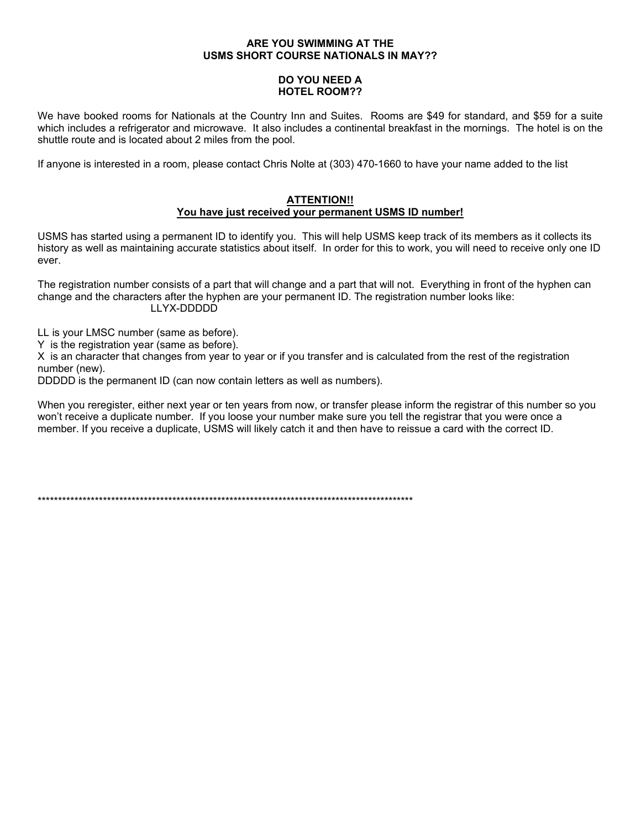#### ARE YOU SWIMMING AT THE **USMS SHORT COURSE NATIONALS IN MAY??**

#### **DO YOU NEED A HOTEL ROOM??**

We have booked rooms for Nationals at the Country Inn and Suites. Rooms are \$49 for standard, and \$59 for a suite which includes a refrigerator and microwave. It also includes a continental breakfast in the mornings. The hotel is on the shuttle route and is located about 2 miles from the pool.

If anyone is interested in a room, please contact Chris Nolte at (303) 470-1660 to have your name added to the list

#### **ATTENTION!!** You have just received your permanent USMS ID number!

USMS has started using a permanent ID to identify you. This will help USMS keep track of its members as it collects its history as well as maintaining accurate statistics about itself. In order for this to work, you will need to receive only one ID ever.

The registration number consists of a part that will change and a part that will not. Everything in front of the hyphen can change and the characters after the hyphen are your permanent ID. The registration number looks like: LLYX-DDDDD

LL is your LMSC number (same as before).

Y is the registration year (same as before).

X is an character that changes from year to year or if you transfer and is calculated from the rest of the registration number (new).

DDDDD is the permanent ID (can now contain letters as well as numbers).

When you reregister, either next year or ten years from now, or transfer please inform the registrar of this number so you won't receive a duplicate number. If you loose your number make sure you tell the registrar that you were once a member. If you receive a duplicate, USMS will likely catch it and then have to reissue a card with the correct ID.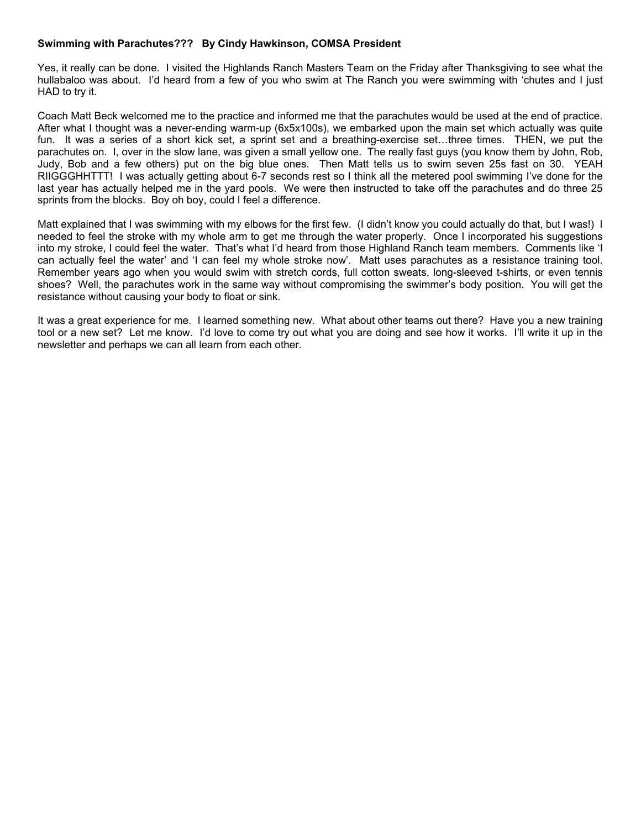#### **Swimming with Parachutes??? By Cindy Hawkinson, COMSA President**

Yes, it really can be done. I visited the Highlands Ranch Masters Team on the Friday after Thanksgiving to see what the hullabaloo was about. I'd heard from a few of you who swim at The Ranch you were swimming with 'chutes and I just HAD to try it.

Coach Matt Beck welcomed me to the practice and informed me that the parachutes would be used at the end of practice. After what I thought was a never-ending warm-up (6x5x100s), we embarked upon the main set which actually was quite fun. It was a series of a short kick set, a sprint set and a breathing-exercise set…three times. THEN, we put the parachutes on. I, over in the slow lane, was given a small yellow one. The really fast guys (you know them by John, Rob, Judy, Bob and a few others) put on the big blue ones. Then Matt tells us to swim seven 25s fast on 30. YEAH RIIGGGHHTTT! I was actually getting about 6-7 seconds rest so I think all the metered pool swimming I've done for the last year has actually helped me in the yard pools. We were then instructed to take off the parachutes and do three 25 sprints from the blocks. Boy oh boy, could I feel a difference.

Matt explained that I was swimming with my elbows for the first few. (I didn't know you could actually do that, but I was!) I needed to feel the stroke with my whole arm to get me through the water properly. Once I incorporated his suggestions into my stroke, I could feel the water. That's what I'd heard from those Highland Ranch team members. Comments like 'I can actually feel the water' and 'I can feel my whole stroke now'. Matt uses parachutes as a resistance training tool. Remember years ago when you would swim with stretch cords, full cotton sweats, long-sleeved t-shirts, or even tennis shoes? Well, the parachutes work in the same way without compromising the swimmer's body position. You will get the resistance without causing your body to float or sink.

It was a great experience for me. I learned something new. What about other teams out there? Have you a new training tool or a new set? Let me know. I'd love to come try out what you are doing and see how it works. I'll write it up in the newsletter and perhaps we can all learn from each other.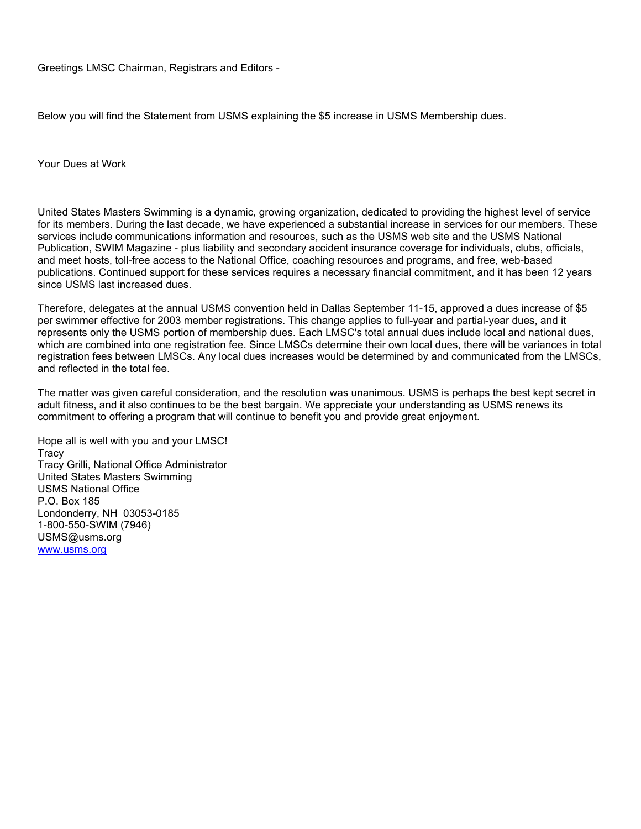Greetings LMSC Chairman, Registrars and Editors -

Below you will find the Statement from USMS explaining the \$5 increase in USMS Membership dues.

Your Dues at Work

United States Masters Swimming is a dynamic, growing organization, dedicated to providing the highest level of service for its members. During the last decade, we have experienced a substantial increase in services for our members. These services include communications information and resources, such as the USMS web site and the USMS National Publication, SWIM Magazine - plus liability and secondary accident insurance coverage for individuals, clubs, officials, and meet hosts, toll-free access to the National Office, coaching resources and programs, and free, web-based publications. Continued support for these services requires a necessary financial commitment, and it has been 12 years since USMS last increased dues.

Therefore, delegates at the annual USMS convention held in Dallas September 11-15, approved a dues increase of \$5 per swimmer effective for 2003 member registrations. This change applies to full-year and partial-year dues, and it represents only the USMS portion of membership dues. Each LMSC's total annual dues include local and national dues, which are combined into one registration fee. Since LMSCs determine their own local dues, there will be variances in total registration fees between LMSCs. Any local dues increases would be determined by and communicated from the LMSCs, and reflected in the total fee.

The matter was given careful consideration, and the resolution was unanimous. USMS is perhaps the best kept secret in adult fitness, and it also continues to be the best bargain. We appreciate your understanding as USMS renews its commitment to offering a program that will continue to benefit you and provide great enjoyment.

Hope all is well with you and your LMSC! **Tracy** Tracy Grilli, National Office Administrator United States Masters Swimming USMS National Office P.O. Box 185 Londonderry, NH 03053-0185 1-800-550-SWIM (7946) USMS@usms.org [www.usms.org](http://www.usms.org/)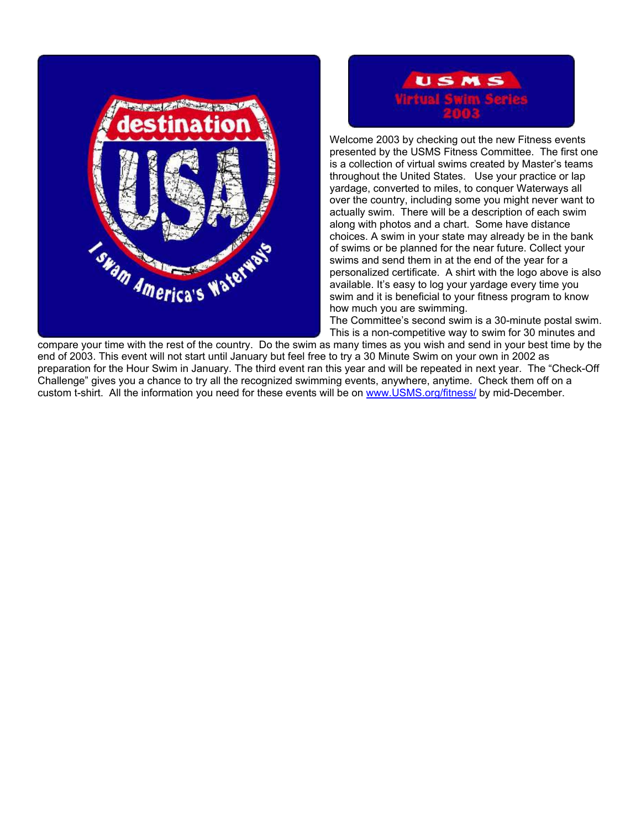



Welcome 2003 by checking out the new Fitness events presented by the USMS Fitness Committee. The first one is a collection of virtual swims created by Master's teams throughout the United States. Use your practice or lap yardage, converted to miles, to conquer Waterways all over the country, including some you might never want to actually swim. There will be a description of each swim along with photos and a chart. Some have distance choices. A swim in your state may already be in the bank of swims or be planned for the near future. Collect your swims and send them in at the end of the year for a personalized certificate. A shirt with the logo above is also available. It's easy to log your yardage every time you swim and it is beneficial to your fitness program to know how much you are swimming.

The Committee's second swim is a 30-minute postal swim. This is a non-competitive way to swim for 30 minutes and

compare your time with the rest of the country. Do the swim as many times as you wish and send in your best time by the end of 2003. This event will not start until January but feel free to try a 30 Minute Swim on your own in 2002 as preparation for the Hour Swim in January. The third event ran this year and will be repeated in next year. The "Check-Off Challenge" gives you a chance to try all the recognized swimming events, anywhere, anytime. Check them off on a custom t-shirt. All the information you need for these events will be on [www.USMS.org/fitness/](http://www.usms.org/fitness/) by mid-December.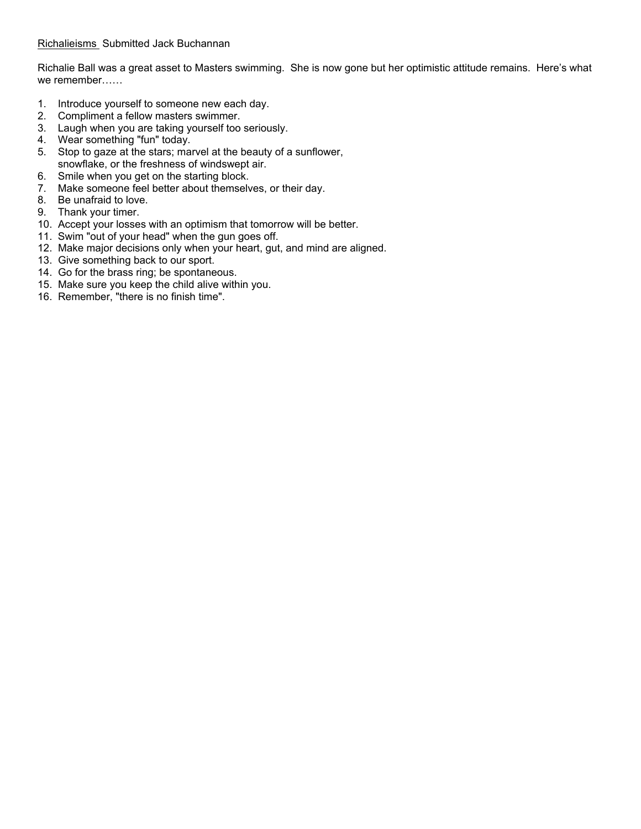Richalie Ball was a great asset to Masters swimming. She is now gone but her optimistic attitude remains. Here's what we remember……

- 1. Introduce yourself to someone new each day.
- 2. Compliment a fellow masters swimmer.
- 3. Laugh when you are taking yourself too seriously.
- 4. Wear something "fun" today.
- 5. Stop to gaze at the stars; marvel at the beauty of a sunflower, snowflake, or the freshness of windswept air.
- 6. Smile when you get on the starting block.
- 7. Make someone feel better about themselves, or their day.
- 8. Be unafraid to love.
- 9. Thank your timer.
- 10. Accept your losses with an optimism that tomorrow will be better.
- 11. Swim "out of your head" when the gun goes off.
- 12. Make major decisions only when your heart, gut, and mind are aligned.
- 13. Give something back to our sport.
- 14. Go for the brass ring; be spontaneous.
- 15. Make sure you keep the child alive within you.
- 16. Remember, "there is no finish time".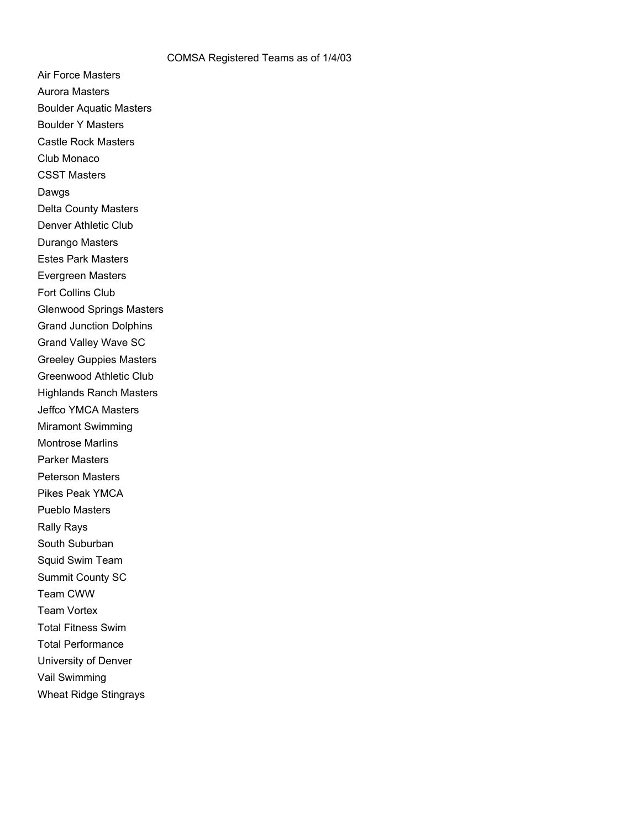Air Force Masters Aurora Masters Boulder Aquatic Masters Boulder Y Masters Castle Rock Masters Club Monaco CSST Masters Dawgs Delta County Masters Denver Athletic Club Durango Masters Estes Park Masters Evergreen Masters Fort Collins Club Glenwood Springs Masters Grand Junction Dolphins Grand Valley Wave SC Greeley Guppies Masters Greenwood Athletic Club Highlands Ranch Masters Jeffco YMCA Masters Miramont Swimming Montrose Marlins Parker Masters Peterson Masters Pikes Peak YMCA Pueblo Masters Rally Rays South Suburban Squid Swim Team Summit County SC Team CWW Team Vortex Total Fitness Swim Total Performance University of Denver Vail Swimming Wheat Ridge Stingrays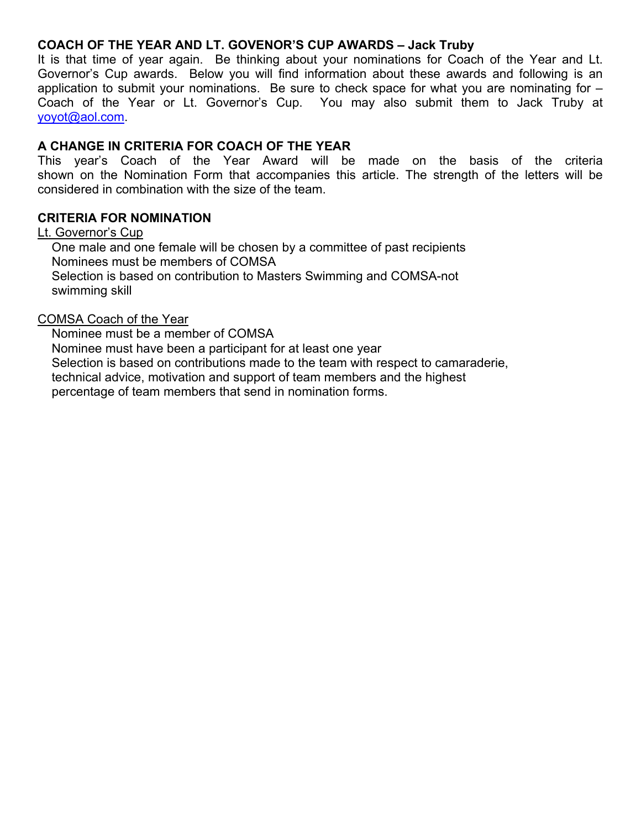## **COACH OF THE YEAR AND LT. GOVENOR'S CUP AWARDS – Jack Truby**

It is that time of year again. Be thinking about your nominations for Coach of the Year and Lt. Governor's Cup awards. Below you will find information about these awards and following is an application to submit your nominations. Be sure to check space for what you are nominating for – Coach of the Year or Lt. Governor's Cup. You may also submit them to Jack Truby at [yoyot@aol.com.](mailto:yoyot@aol.com)

# **A CHANGE IN CRITERIA FOR COACH OF THE YEAR**

This year's Coach of the Year Award will be made on the basis of the criteria shown on the Nomination Form that accompanies this article. The strength of the letters will be considered in combination with the size of the team.

# **CRITERIA FOR NOMINATION**

Lt. Governor's Cup One male and one female will be chosen by a committee of past recipients Nominees must be members of COMSA Selection is based on contribution to Masters Swimming and COMSA-not swimming skill

### COMSA Coach of the Year

 Nominee must be a member of COMSA Nominee must have been a participant for at least one year Selection is based on contributions made to the team with respect to camaraderie, technical advice, motivation and support of team members and the highest percentage of team members that send in nomination forms.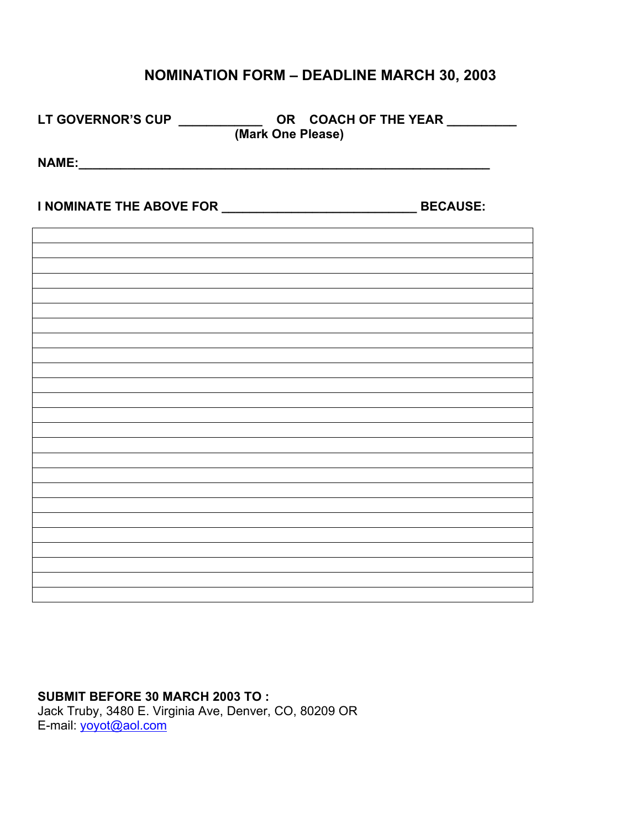# **NOMINATION FORM – DEADLINE MARCH 30, 2003**

| LT GOVERNOR'S CUP ______________OR COACH OF THE YEAR ____________________________<br>(Mark One Please) |  |
|--------------------------------------------------------------------------------------------------------|--|
|                                                                                                        |  |
|                                                                                                        |  |
|                                                                                                        |  |
|                                                                                                        |  |
|                                                                                                        |  |
|                                                                                                        |  |
|                                                                                                        |  |
|                                                                                                        |  |
|                                                                                                        |  |
|                                                                                                        |  |
|                                                                                                        |  |
|                                                                                                        |  |
|                                                                                                        |  |
|                                                                                                        |  |
|                                                                                                        |  |
|                                                                                                        |  |

# **SUBMIT BEFORE 30 MARCH 2003 TO :**  Jack Truby, 3480 E. Virginia Ave, Denver, CO, 80209 OR E-mail: **[yoyot@aol.com](mailto:yoyot@aol.com)**